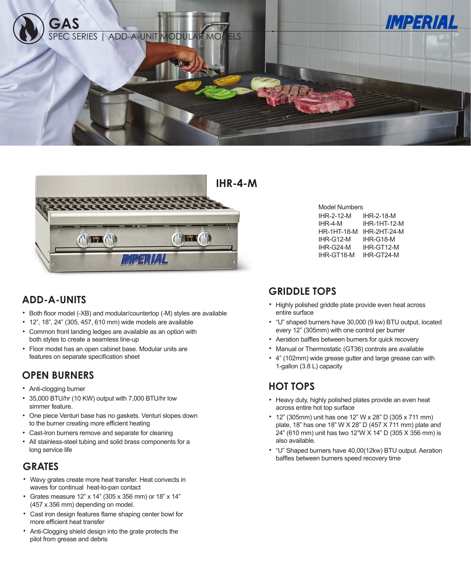



# **ADD-A-UNITS**

- Both floor model (-XB) and modular/countertop (-M) styles are available
- 12", 18", 24" (305, 457, 610 mm) wide models are available
- Common front landing ledges are available as an option with both styles to create a seamless line-up
- Floor model has an open cabinet base. Modular units are features on separate specification sheet

## **OPEN BURNERS**

- Anti-clogging burner
- 35,000 BTU/hr (10 KW) output with 7,000 BTU/hr low simmer feature.
- One piece Venturi base has no gaskets. Venturi slopes down to the burner creating more efficient heating
- Cast-Iron burners remove and separate for cleaning
- All stainless-steel tubing and solid brass components for a long service life

# **GRATES**

- Wavy grates create more heat transfer. Heat convects in waves for continual heat-to-pan contact
- Grates measure 12" x 14" (305 x 356 mm) or 18" x 14" (457 x 356 mm) depending on model.
- Cast iron design features flame shaping center bowl for more efficient heat transfer
- Anti-Clogging shield design into the grate protects the pilot from grease and debris

| Model Numbers      |                     |  |  |  |
|--------------------|---------------------|--|--|--|
| IHR-2-12-M         | IHR-2-18-M          |  |  |  |
| IHR-4-M            | <b>IHR-1HT-12-M</b> |  |  |  |
| <b>HR-1HT-18-M</b> | IHR-2HT-24-M        |  |  |  |
| IHR-G12-M          | IHR-G18-M           |  |  |  |
| IHR-G24-M          | IHR-GT12-M          |  |  |  |
| IHR-GT18-M         | IHR-GT24-M          |  |  |  |
|                    |                     |  |  |  |

## **GRIDDLE TOPS**

- Highly polished griddle plate provide even heat across entire surface
- "U" shaped burners have 30,000 (9 kw) BTU output, located every 12" (305mm) with one control per burner
- Aeration baffles between burners for quick recovery
- Manual or Thermostatic (GT36) controls are available
- 4" (102mm) wide grease gutter and large grease can with 1-gallon (3.8 L) capacity

# **HOT TOPS**

- Heavy duty, highly polished plates provide an even heat across entire hot top surface
- 12" (305mm) unit has one 12" W x 28" D (305 x 711 mm) plate, 18" has one 18" W X 28" D (457 X 711 mm) plate and 24" (610 mm) unit has two 12"W X 14" D (305 X 356 mm) is also available.
- "U" Shaped burners have 40,00(12kw) BTU output. Aeration baffles between burners speed recovery time